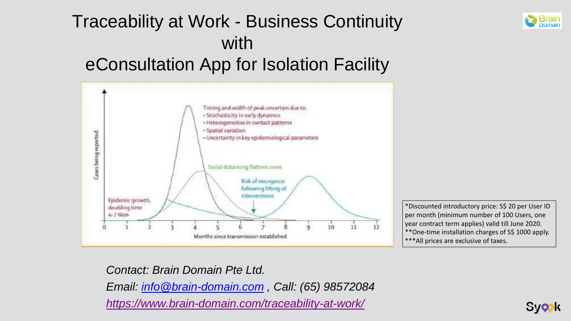## Traceability at Work - Business Continuity with eConsultation App for Isolation Facility



*Contact: Brain Domain Pte Ltd. Email: [info@brain-domain.com](mailto:info@brain-domain.com) , Call: (65) 98572084 <https://www.brain-domain.com/traceability-at-work/>*



\*Discounted introductory price: S\$ 20 per User ID per month (minimum number of 100 Users, one year contract term applies) valid till June 2020. \*\*One-time installation charges of S\$ 1000 apply. \*\*\*All prices are exclusive of taxes.



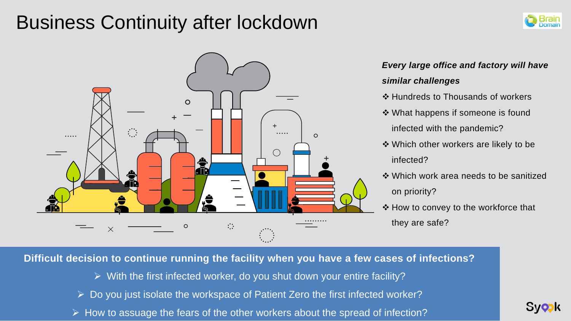### Business Continuity after lockdown



### *Every large office and factory will have similar challenges*

- ❖ Hundreds to Thousands of workers
- ❖ What happens if someone is found infected with the pandemic?
- ❖ Which other workers are likely to be infected?
- ❖ Which work area needs to be sanitized on priority?
- ❖ How to convey to the workforce that they are safe?



- $\triangleright$  With the first infected worker, do you shut down your entire facility?
- ➢ Do you just isolate the workspace of Patient Zero the first infected worker?
- ➢ How to assuage the fears of the other workers about the spread of infection?



**Difficult decision to continue running the facility when you have a few cases of infections?**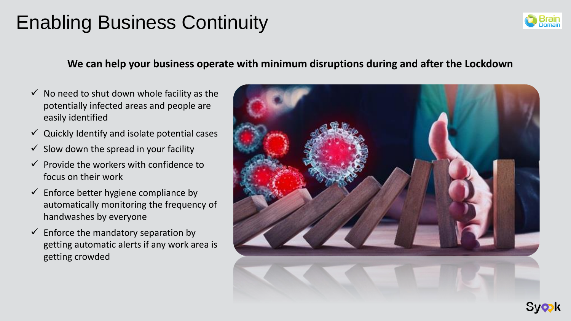# Enabling Business Continuity

- $\checkmark$  No need to shut down whole facility as the potentially infected areas and people are easily identified
- $\checkmark$  Quickly Identify and isolate potential cases
- $\checkmark$  Slow down the spread in your facility
- $\checkmark$  Provide the workers with confidence to focus on their work
- $\checkmark$  Enforce better hygiene compliance by automatically monitoring the frequency of handwashes by everyone
- $\checkmark$  Enforce the mandatory separation by getting automatic alerts if any work area is getting crowded





### **We can help your business operate with minimum disruptions during and after the Lockdown**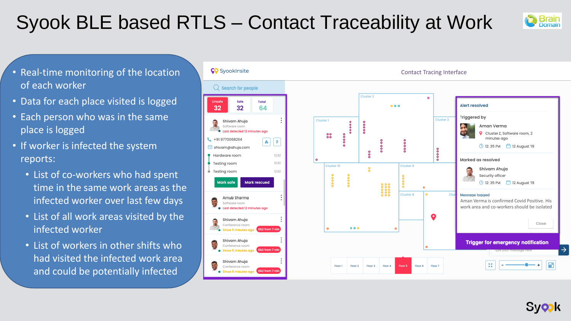# Syook BLE based RTLS – Contact Traceability at Work





Syosk

- Real-time monitoring of the location of each worker
- Data for each place visited is logged
- Each person who was in the same place is logged
- If worker is infected the system reports:
	- List of co-workers who had spent time in the same work areas as the infected worker over last few days
	- List of all work areas visited by the infected worker
	- List of workers in other shifts who had visited the infected work area and could be potentially infected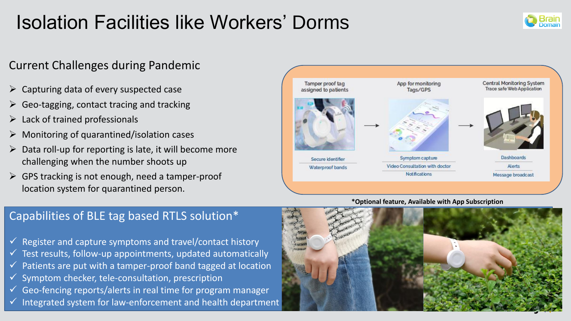## Isolation Facilities like Workers' Dorms

Current Challenges during Pandemic

- $\triangleright$  Capturing data of every suspected case
- $\triangleright$  Geo-tagging, contact tracing and tracking
- $\triangleright$  Lack of trained professionals
- $\triangleright$  Monitoring of quarantined/isolation cases
- $\triangleright$  Data roll-up for reporting is late, it will become more challenging when the number shoots up
- ➢ GPS tracking is not enough, need a tamper-proof location system for quarantined person.

- $\checkmark$  Register and capture symptoms and travel/contact history
- $\checkmark$  Test results, follow-up appointments, updated automatically
- $\checkmark$  Patients are put with a tamper-proof band tagged at location
- $\checkmark$  Symptom checker, tele-consultation, prescription
- $\checkmark$  Geo-fencing reports/alerts in real time for program manager
- ✓ Integrated system for law-enforcement and health department





### Capabilities of BLE tag based RTLS solution\*